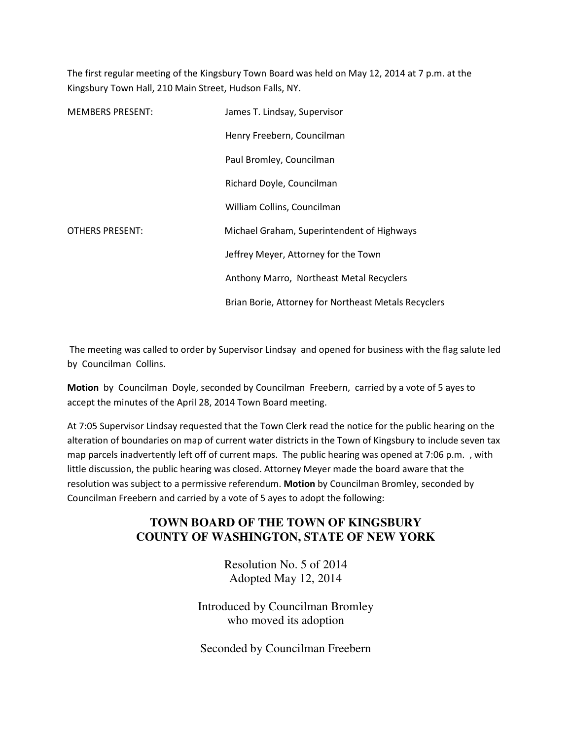The first regular meeting of the Kingsbury Town Board was held on May 12, 2014 at 7 p.m. at the Kingsbury Town Hall, 210 Main Street, Hudson Falls, NY.

| <b>MEMBERS PRESENT:</b> | James T. Lindsay, Supervisor                         |
|-------------------------|------------------------------------------------------|
|                         | Henry Freebern, Councilman                           |
|                         | Paul Bromley, Councilman                             |
|                         | Richard Doyle, Councilman                            |
|                         | William Collins, Councilman                          |
| <b>OTHERS PRESENT:</b>  | Michael Graham, Superintendent of Highways           |
|                         | Jeffrey Meyer, Attorney for the Town                 |
|                         | Anthony Marro, Northeast Metal Recyclers             |
|                         | Brian Borie, Attorney for Northeast Metals Recyclers |

 The meeting was called to order by Supervisor Lindsay and opened for business with the flag salute led by Councilman Collins.

Motion by Councilman Doyle, seconded by Councilman Freebern, carried by a vote of 5 ayes to accept the minutes of the April 28, 2014 Town Board meeting.

At 7:05 Supervisor Lindsay requested that the Town Clerk read the notice for the public hearing on the alteration of boundaries on map of current water districts in the Town of Kingsbury to include seven tax map parcels inadvertently left off of current maps. The public hearing was opened at 7:06 p.m. , with little discussion, the public hearing was closed. Attorney Meyer made the board aware that the resolution was subject to a permissive referendum. Motion by Councilman Bromley, seconded by Councilman Freebern and carried by a vote of 5 ayes to adopt the following:

# **TOWN BOARD OF THE TOWN OF KINGSBURY COUNTY OF WASHINGTON, STATE OF NEW YORK**

Resolution No. 5 of 2014 Adopted May 12, 2014

Introduced by Councilman Bromley who moved its adoption

Seconded by Councilman Freebern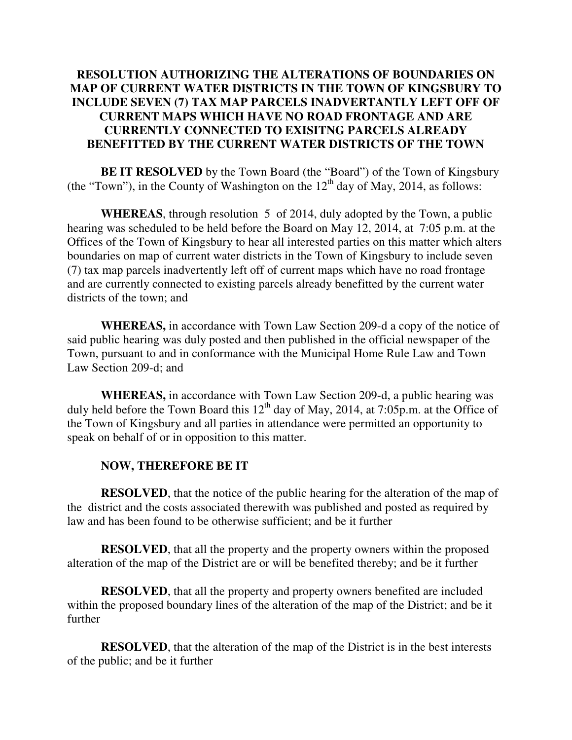## **RESOLUTION AUTHORIZING THE ALTERATIONS OF BOUNDARIES ON MAP OF CURRENT WATER DISTRICTS IN THE TOWN OF KINGSBURY TO INCLUDE SEVEN (7) TAX MAP PARCELS INADVERTANTLY LEFT OFF OF CURRENT MAPS WHICH HAVE NO ROAD FRONTAGE AND ARE CURRENTLY CONNECTED TO EXISITNG PARCELS ALREADY BENEFITTED BY THE CURRENT WATER DISTRICTS OF THE TOWN**

**BE IT RESOLVED** by the Town Board (the "Board") of the Town of Kingsbury (the "Town"), in the County of Washington on the  $12<sup>th</sup>$  day of May, 2014, as follows:

**WHEREAS**, through resolution 5 of 2014, duly adopted by the Town, a public hearing was scheduled to be held before the Board on May 12, 2014, at 7:05 p.m. at the Offices of the Town of Kingsbury to hear all interested parties on this matter which alters boundaries on map of current water districts in the Town of Kingsbury to include seven (7) tax map parcels inadvertently left off of current maps which have no road frontage and are currently connected to existing parcels already benefitted by the current water districts of the town; and

**WHEREAS,** in accordance with Town Law Section 209-d a copy of the notice of said public hearing was duly posted and then published in the official newspaper of the Town, pursuant to and in conformance with the Municipal Home Rule Law and Town Law Section 209-d; and

**WHEREAS,** in accordance with Town Law Section 209-d, a public hearing was duly held before the Town Board this  $12<sup>th</sup>$  day of May, 2014, at 7:05p.m. at the Office of the Town of Kingsbury and all parties in attendance were permitted an opportunity to speak on behalf of or in opposition to this matter.

## **NOW, THEREFORE BE IT**

**RESOLVED**, that the notice of the public hearing for the alteration of the map of the district and the costs associated therewith was published and posted as required by law and has been found to be otherwise sufficient; and be it further

**RESOLVED**, that all the property and the property owners within the proposed alteration of the map of the District are or will be benefited thereby; and be it further

**RESOLVED**, that all the property and property owners benefited are included within the proposed boundary lines of the alteration of the map of the District; and be it further

**RESOLVED**, that the alteration of the map of the District is in the best interests of the public; and be it further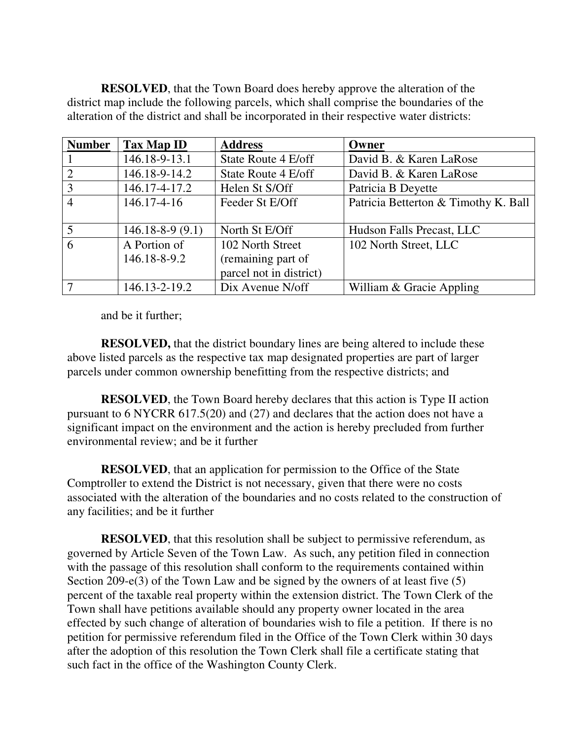**RESOLVED**, that the Town Board does hereby approve the alteration of the district map include the following parcels, which shall comprise the boundaries of the alteration of the district and shall be incorporated in their respective water districts:

| <b>Number</b> | Tax Map ID                   | <b>Address</b>                                                    | Owner                                |
|---------------|------------------------------|-------------------------------------------------------------------|--------------------------------------|
|               | 146.18-9-13.1                | State Route 4 E/off                                               | David B. & Karen LaRose              |
|               | 146.18-9-14.2                | State Route 4 E/off                                               | David B. & Karen LaRose              |
| 3             | 146.17-4-17.2                | Helen St S/Off                                                    | Patricia B Deyette                   |
| 4             | $146.17 - 4 - 16$            | Feeder St E/Off                                                   | Patricia Betterton & Timothy K. Ball |
| 5             | $146.18 - 8 - 9(9.1)$        | North St E/Off                                                    | Hudson Falls Precast, LLC            |
| 6             | A Portion of<br>146.18-8-9.2 | 102 North Street<br>(remaining part of<br>parcel not in district) | 102 North Street, LLC                |
|               | 146.13-2-19.2                | Dix Avenue N/off                                                  | William & Gracie Appling             |

and be it further;

**RESOLVED,** that the district boundary lines are being altered to include these above listed parcels as the respective tax map designated properties are part of larger parcels under common ownership benefitting from the respective districts; and

**RESOLVED**, the Town Board hereby declares that this action is Type II action pursuant to 6 NYCRR 617.5(20) and (27) and declares that the action does not have a significant impact on the environment and the action is hereby precluded from further environmental review; and be it further

**RESOLVED**, that an application for permission to the Office of the State Comptroller to extend the District is not necessary, given that there were no costs associated with the alteration of the boundaries and no costs related to the construction of any facilities; and be it further

**RESOLVED**, that this resolution shall be subject to permissive referendum, as governed by Article Seven of the Town Law. As such, any petition filed in connection with the passage of this resolution shall conform to the requirements contained within Section 209-e(3) of the Town Law and be signed by the owners of at least five (5) percent of the taxable real property within the extension district. The Town Clerk of the Town shall have petitions available should any property owner located in the area effected by such change of alteration of boundaries wish to file a petition. If there is no petition for permissive referendum filed in the Office of the Town Clerk within 30 days after the adoption of this resolution the Town Clerk shall file a certificate stating that such fact in the office of the Washington County Clerk.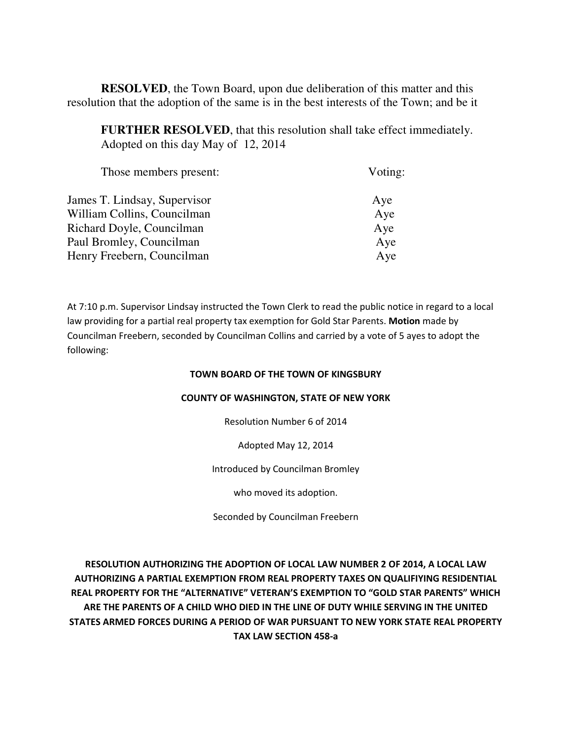**RESOLVED**, the Town Board, upon due deliberation of this matter and this resolution that the adoption of the same is in the best interests of the Town; and be it

**FURTHER RESOLVED**, that this resolution shall take effect immediately. Adopted on this day May of 12, 2014

| Those members present:       | Voting: |
|------------------------------|---------|
| James T. Lindsay, Supervisor | Aye     |
| William Collins, Councilman  | Aye     |
| Richard Doyle, Councilman    | Aye     |
| Paul Bromley, Councilman     | Aye     |
| Henry Freebern, Councilman   | Aye     |
|                              |         |

At 7:10 p.m. Supervisor Lindsay instructed the Town Clerk to read the public notice in regard to a local law providing for a partial real property tax exemption for Gold Star Parents. Motion made by Councilman Freebern, seconded by Councilman Collins and carried by a vote of 5 ayes to adopt the following:

#### TOWN BOARD OF THE TOWN OF KINGSBURY

### COUNTY OF WASHINGTON, STATE OF NEW YORK

Resolution Number 6 of 2014

Adopted May 12, 2014

#### Introduced by Councilman Bromley

who moved its adoption.

Seconded by Councilman Freebern

RESOLUTION AUTHORIZING THE ADOPTION OF LOCAL LAW NUMBER 2 OF 2014, A LOCAL LAW AUTHORIZING A PARTIAL EXEMPTION FROM REAL PROPERTY TAXES ON QUALIFIYING RESIDENTIAL REAL PROPERTY FOR THE "ALTERNATIVE" VETERAN'S EXEMPTION TO "GOLD STAR PARENTS" WHICH ARE THE PARENTS OF A CHILD WHO DIED IN THE LINE OF DUTY WHILE SERVING IN THE UNITED STATES ARMED FORCES DURING A PERIOD OF WAR PURSUANT TO NEW YORK STATE REAL PROPERTY TAX LAW SECTION 458-a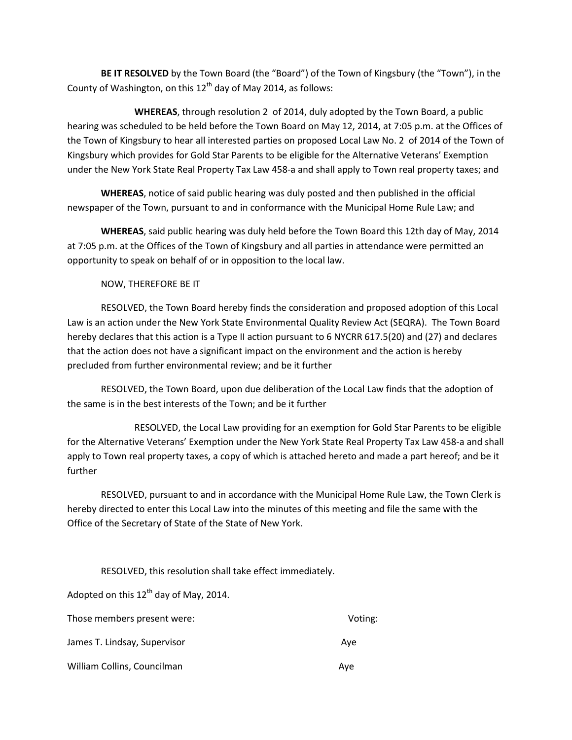BE IT RESOLVED by the Town Board (the "Board") of the Town of Kingsbury (the "Town"), in the County of Washington, on this  $12<sup>th</sup>$  day of May 2014, as follows:

 WHEREAS, through resolution 2 of 2014, duly adopted by the Town Board, a public hearing was scheduled to be held before the Town Board on May 12, 2014, at 7:05 p.m. at the Offices of the Town of Kingsbury to hear all interested parties on proposed Local Law No. 2 of 2014 of the Town of Kingsbury which provides for Gold Star Parents to be eligible for the Alternative Veterans' Exemption under the New York State Real Property Tax Law 458-a and shall apply to Town real property taxes; and

WHEREAS, notice of said public hearing was duly posted and then published in the official newspaper of the Town, pursuant to and in conformance with the Municipal Home Rule Law; and

WHEREAS, said public hearing was duly held before the Town Board this 12th day of May, 2014 at 7:05 p.m. at the Offices of the Town of Kingsbury and all parties in attendance were permitted an opportunity to speak on behalf of or in opposition to the local law.

NOW, THEREFORE BE IT

 RESOLVED, the Town Board hereby finds the consideration and proposed adoption of this Local Law is an action under the New York State Environmental Quality Review Act (SEQRA). The Town Board hereby declares that this action is a Type II action pursuant to 6 NYCRR 617.5(20) and (27) and declares that the action does not have a significant impact on the environment and the action is hereby precluded from further environmental review; and be it further

 RESOLVED, the Town Board, upon due deliberation of the Local Law finds that the adoption of the same is in the best interests of the Town; and be it further

 RESOLVED, the Local Law providing for an exemption for Gold Star Parents to be eligible for the Alternative Veterans' Exemption under the New York State Real Property Tax Law 458-a and shall apply to Town real property taxes, a copy of which is attached hereto and made a part hereof; and be it further

 RESOLVED, pursuant to and in accordance with the Municipal Home Rule Law, the Town Clerk is hereby directed to enter this Local Law into the minutes of this meeting and file the same with the Office of the Secretary of State of the State of New York.

RESOLVED, this resolution shall take effect immediately.

Adopted on this  $12^{th}$  day of May, 2014.

| Those members present were:  | Voting: |
|------------------------------|---------|
| James T. Lindsay, Supervisor | Ave     |
| William Collins, Councilman  | Ave     |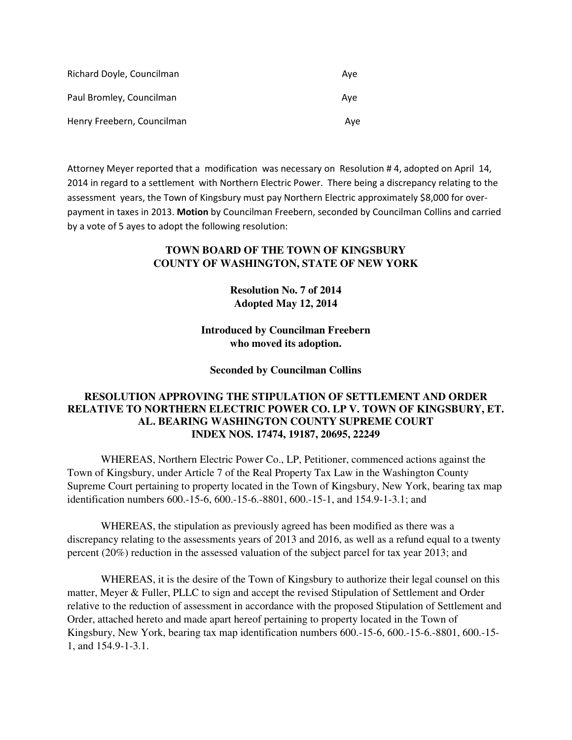| Richard Doyle, Councilman  | Ave |
|----------------------------|-----|
| Paul Bromley, Councilman   | Ave |
| Henry Freebern, Councilman | Ave |

Attorney Meyer reported that a modification was necessary on Resolution # 4, adopted on April 14, 2014 in regard to a settlement with Northern Electric Power. There being a discrepancy relating to the assessment years, the Town of Kingsbury must pay Northern Electric approximately \$8,000 for overpayment in taxes in 2013. Motion by Councilman Freebern, seconded by Councilman Collins and carried by a vote of 5 ayes to adopt the following resolution:

## **TOWN BOARD OF THE TOWN OF KINGSBURY COUNTY OF WASHINGTON, STATE OF NEW YORK**

**Resolution No. 7 of 2014 Adopted May 12, 2014** 

**Introduced by Councilman Freebern who moved its adoption.** 

**Seconded by Councilman Collins** 

## **RESOLUTION APPROVING THE STIPULATION OF SETTLEMENT AND ORDER RELATIVE TO NORTHERN ELECTRIC POWER CO. LP V. TOWN OF KINGSBURY, ET. AL. BEARING WASHINGTON COUNTY SUPREME COURT INDEX NOS. 17474, 19187, 20695, 22249**

WHEREAS, Northern Electric Power Co., LP, Petitioner, commenced actions against the Town of Kingsbury, under Article 7 of the Real Property Tax Law in the Washington County Supreme Court pertaining to property located in the Town of Kingsbury, New York, bearing tax map identification numbers 600.-15-6, 600.-15-6.-8801, 600.-15-1, and 154.9-1-3.1; and

WHEREAS, the stipulation as previously agreed has been modified as there was a discrepancy relating to the assessments years of 2013 and 2016, as well as a refund equal to a twenty percent (20%) reduction in the assessed valuation of the subject parcel for tax year 2013; and

WHEREAS, it is the desire of the Town of Kingsbury to authorize their legal counsel on this matter, Meyer & Fuller, PLLC to sign and accept the revised Stipulation of Settlement and Order relative to the reduction of assessment in accordance with the proposed Stipulation of Settlement and Order, attached hereto and made apart hereof pertaining to property located in the Town of Kingsbury, New York, bearing tax map identification numbers 600.-15-6, 600.-15-6.-8801, 600.-15- 1, and 154.9-1-3.1.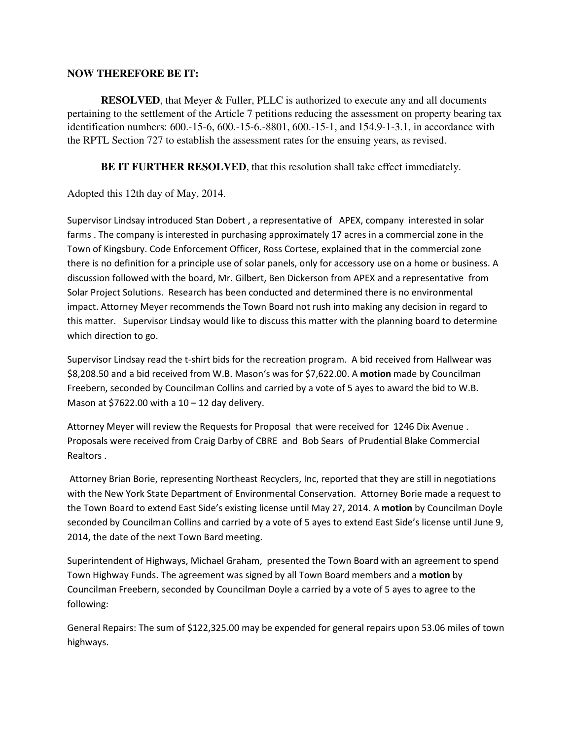## **NOW THEREFORE BE IT:**

**RESOLVED**, that Meyer & Fuller, PLLC is authorized to execute any and all documents pertaining to the settlement of the Article 7 petitions reducing the assessment on property bearing tax identification numbers: 600.-15-6, 600.-15-6.-8801, 600.-15-1, and 154.9-1-3.1, in accordance with the RPTL Section 727 to establish the assessment rates for the ensuing years, as revised.

**BE IT FURTHER RESOLVED**, that this resolution shall take effect immediately.

Adopted this 12th day of May, 2014.

Supervisor Lindsay introduced Stan Dobert , a representative of APEX, company interested in solar farms . The company is interested in purchasing approximately 17 acres in a commercial zone in the Town of Kingsbury. Code Enforcement Officer, Ross Cortese, explained that in the commercial zone there is no definition for a principle use of solar panels, only for accessory use on a home or business. A discussion followed with the board, Mr. Gilbert, Ben Dickerson from APEX and a representative from Solar Project Solutions. Research has been conducted and determined there is no environmental impact. Attorney Meyer recommends the Town Board not rush into making any decision in regard to this matter. Supervisor Lindsay would like to discuss this matter with the planning board to determine which direction to go.

Supervisor Lindsay read the t-shirt bids for the recreation program. A bid received from Hallwear was \$8,208.50 and a bid received from W.B. Mason's was for \$7,622.00. A motion made by Councilman Freebern, seconded by Councilman Collins and carried by a vote of 5 ayes to award the bid to W.B. Mason at \$7622.00 with a  $10 - 12$  day delivery.

Attorney Meyer will review the Requests for Proposal that were received for 1246 Dix Avenue . Proposals were received from Craig Darby of CBRE and Bob Sears of Prudential Blake Commercial Realtors .

 Attorney Brian Borie, representing Northeast Recyclers, Inc, reported that they are still in negotiations with the New York State Department of Environmental Conservation. Attorney Borie made a request to the Town Board to extend East Side's existing license until May 27, 2014. A motion by Councilman Doyle seconded by Councilman Collins and carried by a vote of 5 ayes to extend East Side's license until June 9, 2014, the date of the next Town Bard meeting.

Superintendent of Highways, Michael Graham, presented the Town Board with an agreement to spend Town Highway Funds. The agreement was signed by all Town Board members and a motion by Councilman Freebern, seconded by Councilman Doyle a carried by a vote of 5 ayes to agree to the following:

General Repairs: The sum of \$122,325.00 may be expended for general repairs upon 53.06 miles of town highways.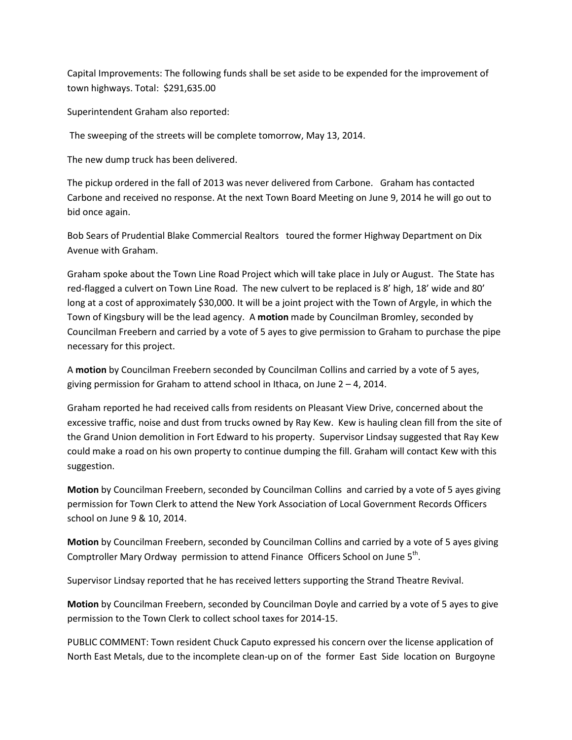Capital Improvements: The following funds shall be set aside to be expended for the improvement of town highways. Total: \$291,635.00

Superintendent Graham also reported:

The sweeping of the streets will be complete tomorrow, May 13, 2014.

The new dump truck has been delivered.

The pickup ordered in the fall of 2013 was never delivered from Carbone. Graham has contacted Carbone and received no response. At the next Town Board Meeting on June 9, 2014 he will go out to bid once again.

Bob Sears of Prudential Blake Commercial Realtors toured the former Highway Department on Dix Avenue with Graham.

Graham spoke about the Town Line Road Project which will take place in July or August. The State has red-flagged a culvert on Town Line Road. The new culvert to be replaced is 8' high, 18' wide and 80' long at a cost of approximately \$30,000. It will be a joint project with the Town of Argyle, in which the Town of Kingsbury will be the lead agency. A motion made by Councilman Bromley, seconded by Councilman Freebern and carried by a vote of 5 ayes to give permission to Graham to purchase the pipe necessary for this project.

A motion by Councilman Freebern seconded by Councilman Collins and carried by a vote of 5 ayes, giving permission for Graham to attend school in Ithaca, on June  $2 - 4$ , 2014.

Graham reported he had received calls from residents on Pleasant View Drive, concerned about the excessive traffic, noise and dust from trucks owned by Ray Kew. Kew is hauling clean fill from the site of the Grand Union demolition in Fort Edward to his property. Supervisor Lindsay suggested that Ray Kew could make a road on his own property to continue dumping the fill. Graham will contact Kew with this suggestion.

Motion by Councilman Freebern, seconded by Councilman Collins and carried by a vote of 5 ayes giving permission for Town Clerk to attend the New York Association of Local Government Records Officers school on June 9 & 10, 2014.

Motion by Councilman Freebern, seconded by Councilman Collins and carried by a vote of 5 ayes giving Comptroller Mary Ordway permission to attend Finance Officers School on June 5<sup>th</sup>.

Supervisor Lindsay reported that he has received letters supporting the Strand Theatre Revival.

Motion by Councilman Freebern, seconded by Councilman Doyle and carried by a vote of 5 ayes to give permission to the Town Clerk to collect school taxes for 2014-15.

PUBLIC COMMENT: Town resident Chuck Caputo expressed his concern over the license application of North East Metals, due to the incomplete clean-up on of the former East Side location on Burgoyne